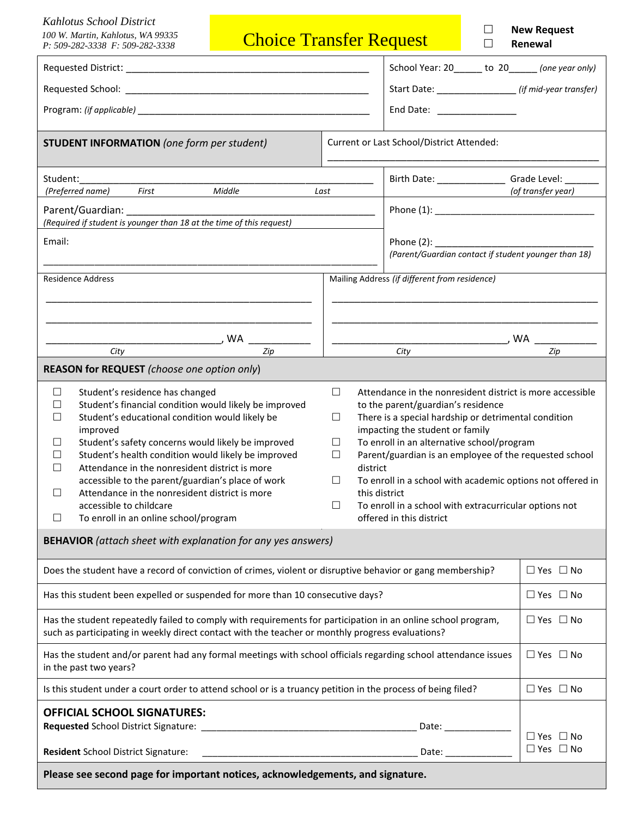| <b>Kahlotus School District</b><br>100 W. Martin, Kahlotus, WA 99335<br>P: 509-282-3338 F: 509-282-3338                                                                                                                                                                                                                                                                                                                                                                                                                                          | <b>Choice Transfer Request</b>            |                                                                                                                                                                                                                                                                                                                                                                                                                                                                                                                                                 | П                                                    | <b>New Request</b><br>Renewal                     |                                                       |
|--------------------------------------------------------------------------------------------------------------------------------------------------------------------------------------------------------------------------------------------------------------------------------------------------------------------------------------------------------------------------------------------------------------------------------------------------------------------------------------------------------------------------------------------------|-------------------------------------------|-------------------------------------------------------------------------------------------------------------------------------------------------------------------------------------------------------------------------------------------------------------------------------------------------------------------------------------------------------------------------------------------------------------------------------------------------------------------------------------------------------------------------------------------------|------------------------------------------------------|---------------------------------------------------|-------------------------------------------------------|
|                                                                                                                                                                                                                                                                                                                                                                                                                                                                                                                                                  |                                           |                                                                                                                                                                                                                                                                                                                                                                                                                                                                                                                                                 |                                                      | School Year: 20______ to 20______ (one year only) |                                                       |
|                                                                                                                                                                                                                                                                                                                                                                                                                                                                                                                                                  |                                           |                                                                                                                                                                                                                                                                                                                                                                                                                                                                                                                                                 |                                                      |                                                   | Start Date: __________________ (if mid-year transfer) |
|                                                                                                                                                                                                                                                                                                                                                                                                                                                                                                                                                  |                                           |                                                                                                                                                                                                                                                                                                                                                                                                                                                                                                                                                 | End Date: _______________                            |                                                   |                                                       |
| <b>STUDENT INFORMATION</b> (one form per student)                                                                                                                                                                                                                                                                                                                                                                                                                                                                                                | Current or Last School/District Attended: |                                                                                                                                                                                                                                                                                                                                                                                                                                                                                                                                                 |                                                      |                                                   |                                                       |
| Student:                                                                                                                                                                                                                                                                                                                                                                                                                                                                                                                                         |                                           |                                                                                                                                                                                                                                                                                                                                                                                                                                                                                                                                                 | Birth Date: _____________________ Grade Level: ___   |                                                   |                                                       |
| (Preferred name) First Middle                                                                                                                                                                                                                                                                                                                                                                                                                                                                                                                    |                                           | Last                                                                                                                                                                                                                                                                                                                                                                                                                                                                                                                                            |                                                      |                                                   | (of transfer year)                                    |
| Parent/Guardian: National Parent Control of the Control of the Control of the Control of the Control of the Co<br>(Required if student is younger than 18 at the time of this request)                                                                                                                                                                                                                                                                                                                                                           |                                           |                                                                                                                                                                                                                                                                                                                                                                                                                                                                                                                                                 |                                                      |                                                   |                                                       |
| Email:                                                                                                                                                                                                                                                                                                                                                                                                                                                                                                                                           |                                           |                                                                                                                                                                                                                                                                                                                                                                                                                                                                                                                                                 |                                                      |                                                   |                                                       |
|                                                                                                                                                                                                                                                                                                                                                                                                                                                                                                                                                  |                                           |                                                                                                                                                                                                                                                                                                                                                                                                                                                                                                                                                 | (Parent/Guardian contact if student younger than 18) |                                                   |                                                       |
| <b>Residence Address</b>                                                                                                                                                                                                                                                                                                                                                                                                                                                                                                                         |                                           | Mailing Address (if different from residence)                                                                                                                                                                                                                                                                                                                                                                                                                                                                                                   |                                                      |                                                   |                                                       |
|                                                                                                                                                                                                                                                                                                                                                                                                                                                                                                                                                  |                                           |                                                                                                                                                                                                                                                                                                                                                                                                                                                                                                                                                 |                                                      |                                                   |                                                       |
|                                                                                                                                                                                                                                                                                                                                                                                                                                                                                                                                                  |                                           |                                                                                                                                                                                                                                                                                                                                                                                                                                                                                                                                                 |                                                      |                                                   |                                                       |
|                                                                                                                                                                                                                                                                                                                                                                                                                                                                                                                                                  |                                           |                                                                                                                                                                                                                                                                                                                                                                                                                                                                                                                                                 |                                                      |                                                   |                                                       |
| City                                                                                                                                                                                                                                                                                                                                                                                                                                                                                                                                             | Zip                                       |                                                                                                                                                                                                                                                                                                                                                                                                                                                                                                                                                 | City                                                 |                                                   | Zip                                                   |
| REASON for REQUEST (choose one option only)                                                                                                                                                                                                                                                                                                                                                                                                                                                                                                      |                                           |                                                                                                                                                                                                                                                                                                                                                                                                                                                                                                                                                 |                                                      |                                                   |                                                       |
| Student's residence has changed<br>$\Box$<br>Student's financial condition would likely be improved<br>П<br>Student's educational condition would likely be<br>□<br>improved<br>Student's safety concerns would likely be improved<br>ΙI<br>Student's health condition would likely be improved<br>⊔<br>□<br>Attendance in the nonresident district is more<br>accessible to the parent/guardian's place of work<br>Attendance in the nonresident district is more<br>□<br>accessible to childcare<br>To enroll in an online school/program<br>□ |                                           | $\Box$<br>Attendance in the nonresident district is more accessible<br>to the parent/guardian's residence<br>There is a special hardship or detrimental condition<br>$\Box$<br>impacting the student or family<br>To enroll in an alternative school/program<br>$\Box$<br>$\Box$<br>Parent/guardian is an employee of the requested school<br>district<br>$\Box$<br>To enroll in a school with academic options not offered in<br>this district<br>$\Box$<br>To enroll in a school with extracurricular options not<br>offered in this district |                                                      |                                                   |                                                       |
| <b>BEHAVIOR</b> (attach sheet with explanation for any yes answers)                                                                                                                                                                                                                                                                                                                                                                                                                                                                              |                                           |                                                                                                                                                                                                                                                                                                                                                                                                                                                                                                                                                 |                                                      |                                                   |                                                       |
| Does the student have a record of conviction of crimes, violent or disruptive behavior or gang membership?                                                                                                                                                                                                                                                                                                                                                                                                                                       |                                           |                                                                                                                                                                                                                                                                                                                                                                                                                                                                                                                                                 |                                                      |                                                   | $\Box$ Yes $\Box$ No                                  |
| Has this student been expelled or suspended for more than 10 consecutive days?                                                                                                                                                                                                                                                                                                                                                                                                                                                                   |                                           |                                                                                                                                                                                                                                                                                                                                                                                                                                                                                                                                                 |                                                      |                                                   | $\Box$ Yes $\Box$ No                                  |
| Has the student repeatedly failed to comply with requirements for participation in an online school program,<br>such as participating in weekly direct contact with the teacher or monthly progress evaluations?                                                                                                                                                                                                                                                                                                                                 |                                           |                                                                                                                                                                                                                                                                                                                                                                                                                                                                                                                                                 |                                                      |                                                   | $\Box$ Yes $\Box$ No                                  |
| Has the student and/or parent had any formal meetings with school officials regarding school attendance issues<br>in the past two years?                                                                                                                                                                                                                                                                                                                                                                                                         |                                           |                                                                                                                                                                                                                                                                                                                                                                                                                                                                                                                                                 |                                                      |                                                   | $\Box$ Yes $\Box$ No                                  |
| Is this student under a court order to attend school or is a truancy petition in the process of being filed?                                                                                                                                                                                                                                                                                                                                                                                                                                     |                                           |                                                                                                                                                                                                                                                                                                                                                                                                                                                                                                                                                 |                                                      |                                                   | $\Box$ Yes $\Box$ No                                  |
| <b>OFFICIAL SCHOOL SIGNATURES:</b>                                                                                                                                                                                                                                                                                                                                                                                                                                                                                                               |                                           |                                                                                                                                                                                                                                                                                                                                                                                                                                                                                                                                                 |                                                      |                                                   |                                                       |
|                                                                                                                                                                                                                                                                                                                                                                                                                                                                                                                                                  |                                           | Date: __________                                                                                                                                                                                                                                                                                                                                                                                                                                                                                                                                |                                                      |                                                   |                                                       |
| Resident School District Signature:                                                                                                                                                                                                                                                                                                                                                                                                                                                                                                              |                                           |                                                                                                                                                                                                                                                                                                                                                                                                                                                                                                                                                 | Date:                                                |                                                   | $\Box$ Yes $\Box$ No<br>$\Box$ Yes $\Box$ No          |
| Please see second page for important notices, acknowledgements, and signature.                                                                                                                                                                                                                                                                                                                                                                                                                                                                   |                                           |                                                                                                                                                                                                                                                                                                                                                                                                                                                                                                                                                 |                                                      |                                                   |                                                       |